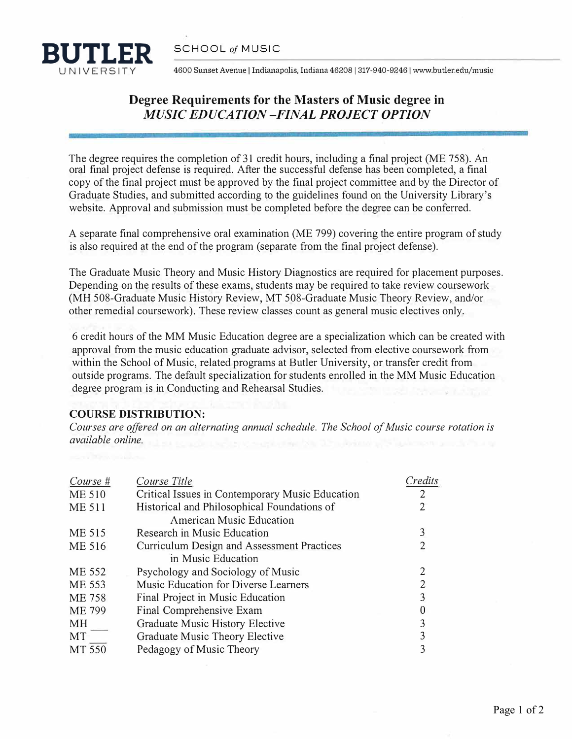

UNIVERSITY 4600 Sunset Avenue I Indianapolis, Indiana 46208 I 317-940-9246 I www.butler.edu/music

## **Degree Requirements for the Masters of Music degree in** *MUSIC EDUCATION -FINAL PROJECT OPTION*

The degree requires the completion of 31 credit hours, including a final project (ME 758). An oral final project defense is required. After the successful defense has been completed, a final copy of the final project must be approved by the final project committee and by the Director of Graduate Studies, and submitted according to the guidelines found on the University Library's website. Approval and submission must be completed before the degree can be conferred.

A separate final comprehensive oral examination (ME 799) covering the entire program of study is also required at the end of the program (separate from the final project defense).

The Graduate Music Theory and Music History Diagnostics are required for placement purposes. Depending on the results of these exams, students may be required to take review coursework (MH 508-Graduate Music History Review, MT 508-Graduate Music Theory Review, and/or other remedial coursework). These review classes count as general music electives only.

6 credit hours of the MM Music Education degree are a specialization which can be created with approval from the music education graduate advisor, selected from elective coursework from within the School of Music, related programs at Butler University, or transfer credit from outside programs. The default specialization for students enrolled in the MM Music Education degree program is in Conducting and Rehearsal Studies.

## **COURSE DISTRIBUTION:**

*Courses are offered on an alternating annual schedule. The School of Music course rotation is available online.* 

| Course #      | Course Title                                    | Credits |
|---------------|-------------------------------------------------|---------|
| <b>ME 510</b> | Critical Issues in Contemporary Music Education |         |
| <b>ME 511</b> | Historical and Philosophical Foundations of     |         |
|               | <b>American Music Education</b>                 |         |
| ME 515        | Research in Music Education                     | 3       |
| ME 516        | Curriculum Design and Assessment Practices      |         |
|               | in Music Education                              |         |
| ME 552        | Psychology and Sociology of Music               |         |
| ME 553        | Music Education for Diverse Learners            |         |
| ME 758        | Final Project in Music Education                |         |
| <b>ME 799</b> | Final Comprehensive Exam                        |         |
| MH            | Graduate Music History Elective                 |         |
| MT            | Graduate Music Theory Elective                  |         |
| MT 550        | Pedagogy of Music Theory                        |         |